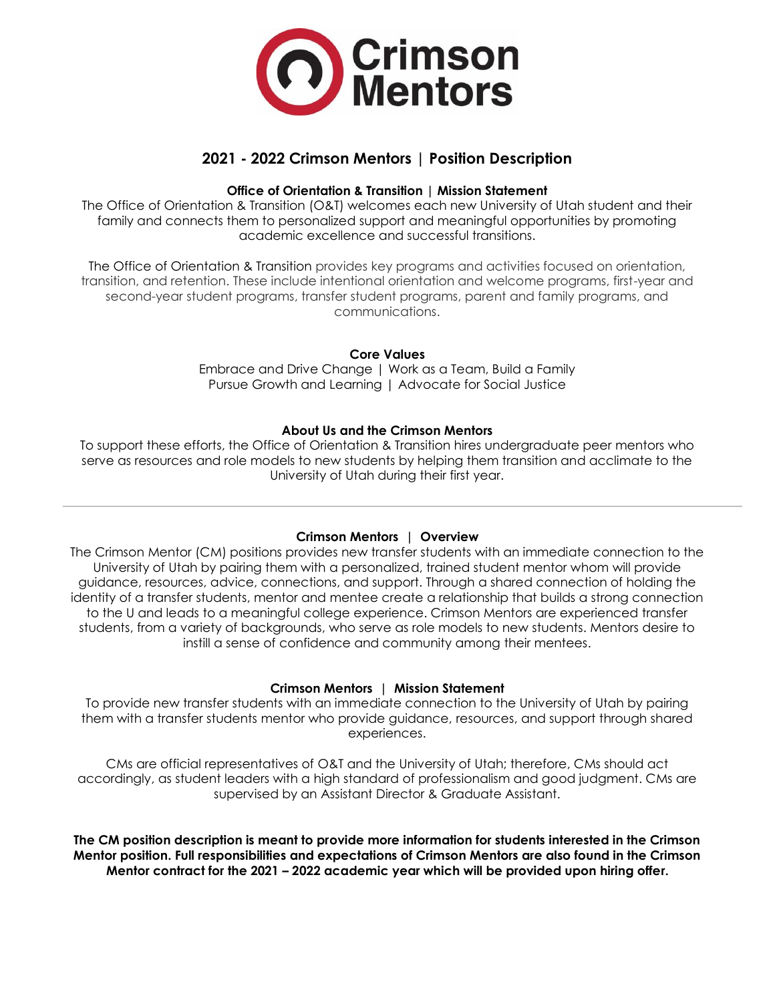

# **2021 - 2022 Crimson Mentors | Position Description**

# **Office of Orientation & Transition | Mission Statement**

The Office of Orientation & Transition (O&T) welcomes each new University of Utah student and their family and connects them to personalized support and meaningful opportunities by promoting academic excellence and successful transitions.

The Office of Orientation & Transition provides key programs and activities focused on orientation, transition, and retention. These include intentional orientation and welcome programs, first-year and second-year student programs, transfer student programs, parent and family programs, and communications.

## **Core Values**

Embrace and Drive Change | Work as a Team, Build a Family Pursue Growth and Learning | Advocate for Social Justice

#### **About Us and the Crimson Mentors**

To support these efforts, the Office of Orientation & Transition hires undergraduate peer mentors who serve as resources and role models to new students by helping them transition and acclimate to the University of Utah during their first year.

#### **Crimson Mentors | Overview**

The Crimson Mentor (CM) positions provides new transfer students with an immediate connection to the University of Utah by pairing them with a personalized, trained student mentor whom will provide guidance, resources, advice, connections, and support. Through a shared connection of holding the identity of a transfer students, mentor and mentee create a relationship that builds a strong connection to the U and leads to a meaningful college experience. Crimson Mentors are experienced transfer students, from a variety of backgrounds, who serve as role models to new students. Mentors desire to instill a sense of confidence and community among their mentees.

# **Crimson Mentors | Mission Statement**

To provide new transfer students with an immediate connection to the University of Utah by pairing them with a transfer students mentor who provide guidance, resources, and support through shared experiences.

CMs are official representatives of O&T and the University of Utah; therefore, CMs should act accordingly, as student leaders with a high standard of professionalism and good judgment. CMs are supervised by an Assistant Director & Graduate Assistant.

**The CM position description is meant to provide more information for students interested in the Crimson Mentor position. Full responsibilities and expectations of Crimson Mentors are also found in the Crimson Mentor contract for the 2021 – 2022 academic year which will be provided upon hiring offer.**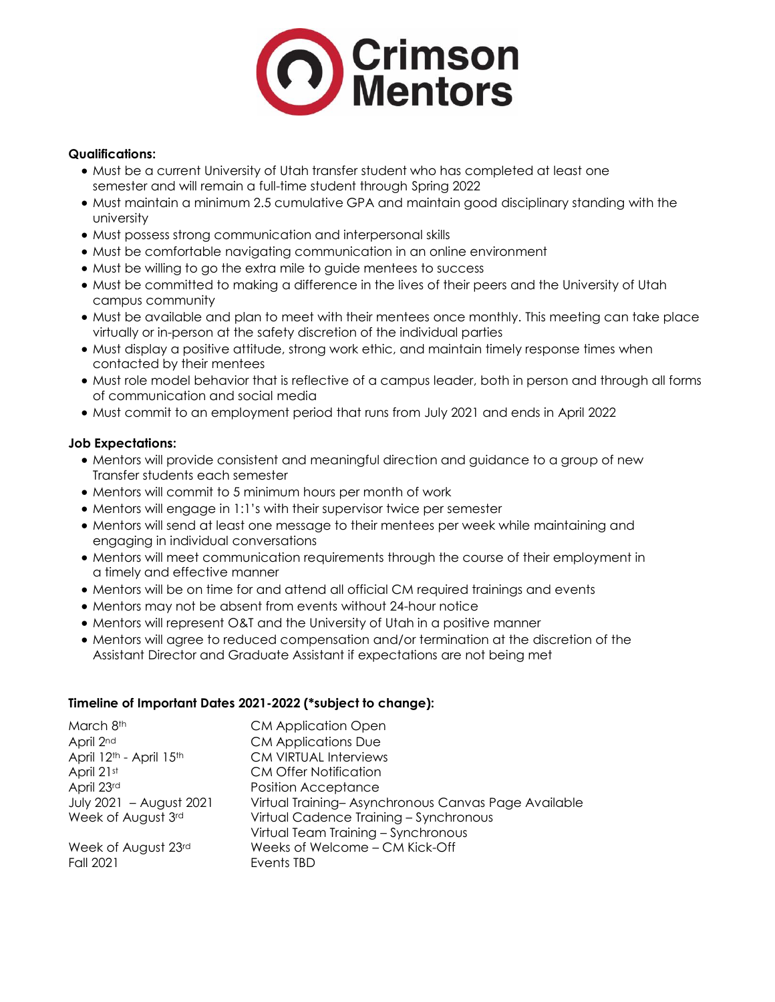

## **Qualifications:**

- Must be a current University of Utah transfer student who has completed at least one semester and will remain a full-time student through Spring 2022
- Must maintain a minimum 2.5 cumulative GPA and maintain good disciplinary standing with the university
- Must possess strong communication and interpersonal skills
- Must be comfortable navigating communication in an online environment
- Must be willing to go the extra mile to guide mentees to success
- Must be committed to making a difference in the lives of their peers and the University of Utah campus community
- Must be available and plan to meet with their mentees once monthly. This meeting can take place virtually or in-person at the safety discretion of the individual parties
- Must display a positive attitude, strong work ethic, and maintain timely response times when contacted by their mentees
- Must role model behavior that is reflective of a campus leader, both in person and through all forms of communication and social media
- Must commit to an employment period that runs from July 2021 and ends in April 2022

## **Job Expectations:**

- Mentors will provide consistent and meaningful direction and guidance to a group of new Transfer students each semester
- Mentors will commit to 5 minimum hours per month of work
- Mentors will engage in 1:1's with their supervisor twice per semester
- Mentors will send at least one message to their mentees per week while maintaining and engaging in individual conversations
- Mentors will meet communication requirements through the course of their employment in a timely and effective manner
- Mentors will be on time for and attend all official CM required trainings and events
- Mentors may not be absent from events without 24-hour notice
- Mentors will represent O&T and the University of Utah in a positive manner
- Mentors will agree to reduced compensation and/or termination at the discretion of the Assistant Director and Graduate Assistant if expectations are not being met

#### **Timeline of Important Dates 2021-2022 (\*subject to change):**

| March 8th                                       | <b>CM Application Open</b>                          |
|-------------------------------------------------|-----------------------------------------------------|
| April 2nd                                       | <b>CM Applications Due</b>                          |
| April 12 <sup>th</sup> - April 15 <sup>th</sup> | <b>CM VIRTUAL Interviews</b>                        |
| April 21st                                      | <b>CM Offer Notification</b>                        |
| April 23rd                                      | <b>Position Acceptance</b>                          |
| July 2021 - August 2021                         | Virtual Training-Asynchronous Canvas Page Available |
| Week of August 3rd                              | Virtual Cadence Training - Synchronous              |
|                                                 | Virtual Team Training - Synchronous                 |
| Week of August 23rd                             | Weeks of Welcome - CM Kick-Off                      |
| <b>Fall 2021</b>                                | Events TBD                                          |